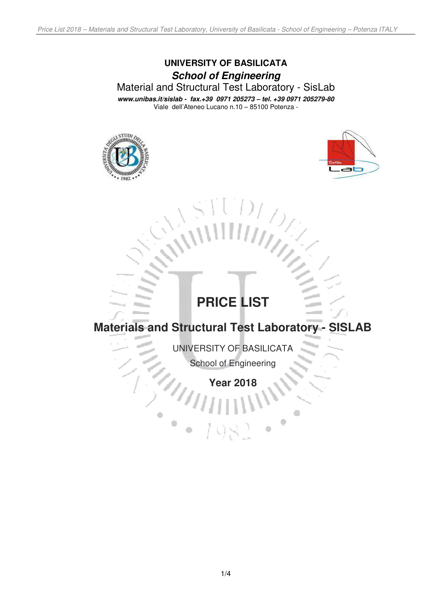## **UNIVERSITY OF BASILICATA School of Engineering**

Material and Structural Test Laboratory - SisLab **www.unibas.it/sislab - fax.+39 0971 205273 – tel. +39 0971 205279-80**  Viale dell'Ateneo Lucano n.10 – 85100 Potenza -





## **PRICE LIST**

o

**Materials and Structural Test Laboratory - SISLAB** 

UNIVERSITY OF BASILICATA School of Engineering

**Year 2018**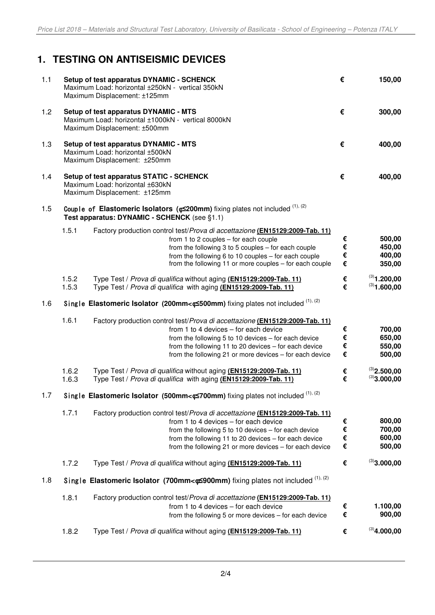## **1. TESTING ON ANTISEISMIC DEVICES**

| 1.1 |                                                                                                                                           | Setup of test apparatus DYNAMIC - SCHENCK<br>Maximum Load: horizontal ±250kN - vertical 350kN<br>Maximum Displacement: ±125mm                                                                                                                                                                           | €                               | 150,00                                 |
|-----|-------------------------------------------------------------------------------------------------------------------------------------------|---------------------------------------------------------------------------------------------------------------------------------------------------------------------------------------------------------------------------------------------------------------------------------------------------------|---------------------------------|----------------------------------------|
| 1.2 | Setup of test apparatus DYNAMIC - MTS<br>Maximum Load: horizontal ±1000kN - vertical 8000kN<br>Maximum Displacement: ±500mm               | €                                                                                                                                                                                                                                                                                                       | 300,00                          |                                        |
| 1.3 | Setup of test apparatus DYNAMIC - MTS<br>Maximum Load: horizontal ±500kN<br>Maximum Displacement: ±250mm                                  | €                                                                                                                                                                                                                                                                                                       | 400,00                          |                                        |
| 1.4 | Setup of test apparatus STATIC - SCHENCK<br>Maximum Load: horizontal ±630kN<br>Maximum Displacement: ±125mm                               | €                                                                                                                                                                                                                                                                                                       | 400,00                          |                                        |
| 1.5 | Couple of Elastomeric Isolators ( $\phi \leq 200$ mm) fixing plates not included (1), (2)<br>Test apparatus: DYNAMIC - SCHENCK (see §1.1) |                                                                                                                                                                                                                                                                                                         |                                 |                                        |
|     | 1.5.1                                                                                                                                     | Factory production control test/Prova di accettazione (EN15129:2009-Tab. 11)<br>from 1 to 2 couples - for each couple<br>from the following 3 to 5 couples - for each couple<br>from the following 6 to 10 couples - for each couple<br>from the following 11 or more couples - for each couple         | €<br>$\pmb{\epsilon}$<br>€<br>€ | 500,00<br>450,00<br>400,00<br>350,00   |
|     | 1.5.2<br>1.5.3                                                                                                                            | Type Test / Prova di qualifica without aging (EN15129:2009-Tab. 11)<br>Type Test / Prova di qualifica with aging (EN15129:2009-Tab. 11)                                                                                                                                                                 | €<br>€                          | $^{(3)}$ 1.200,00<br>$^{(3)}$ 1.600,00 |
| 1.6 | Single Elastomeric Isolator (200mm< $\phi$ <500mm) fixing plates not included (1), (2)                                                    |                                                                                                                                                                                                                                                                                                         |                                 |                                        |
|     | 1.6.1                                                                                                                                     | Factory production control test/Prova di accettazione (EN15129:2009-Tab. 11)<br>from 1 to 4 devices - for each device<br>from the following 5 to 10 devices $-$ for each device<br>from the following 11 to 20 devices $-$ for each device<br>from the following 21 or more devices $-$ for each device | €<br>€<br>$\pmb{\epsilon}$<br>€ | 700,00<br>650,00<br>550,00<br>500,00   |
|     | 1.6.2<br>1.6.3                                                                                                                            | Type Test / Prova di qualifica without aging (EN15129:2009-Tab. 11)<br>Type Test / Prova di qualifica with aging (EN15129:2009-Tab. 11)                                                                                                                                                                 | €<br>€                          | $^{(3)}$ 2.500,00<br>$^{(3)}3.000,00$  |
| 1.7 |                                                                                                                                           | Single Elastomeric Isolator (500mm< $\phi$ <2700mm) fixing plates not included (1), (2)                                                                                                                                                                                                                 |                                 |                                        |
|     | 1.7.1                                                                                                                                     | Factory production control test/Prova di accettazione (EN15129:2009-Tab. 11)<br>from 1 to 4 devices - for each device<br>from the following 5 to 10 devices - for each device<br>from the following 11 to 20 devices - for each device<br>from the following 21 or more devices - for each device       | €<br>€<br>€<br>€                | 800,00<br>700,00<br>600,00<br>500,00   |
|     | 1.7.2                                                                                                                                     | Type Test / Prova di qualifica without aging (EN15129:2009-Tab. 11)                                                                                                                                                                                                                                     | €                               | $^{(3)}3.000,00$                       |
| 1.8 |                                                                                                                                           | Single Elastomeric Isolator (700mm< $\phi$ ≤900mm) fixing plates not included (1), (2)                                                                                                                                                                                                                  |                                 |                                        |
|     | 1.8.1                                                                                                                                     | Factory production control test/Prova di accettazione (EN15129:2009-Tab. 11)<br>from 1 to 4 devices - for each device<br>from the following 5 or more devices - for each device                                                                                                                         | €<br>€                          | 1.100,00<br>900,00                     |
|     | 1.8.2                                                                                                                                     | Type Test / Prova di qualifica without aging (EN15129:2009-Tab. 11)                                                                                                                                                                                                                                     | €                               | $^{(3)}$ 4.000,00                      |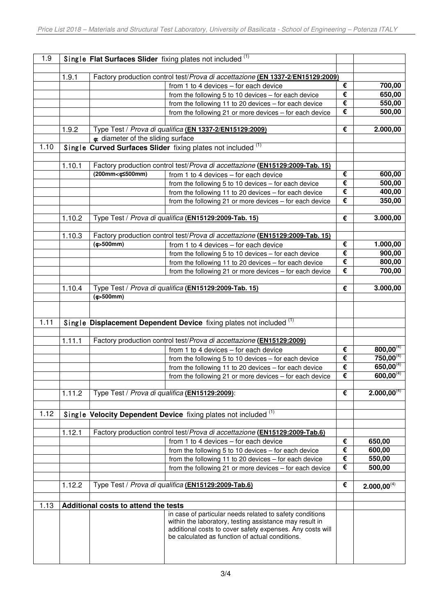| 1.9  |                                      |                                                                      | Single Flat Surfaces Slider fixing plates not included (1)                                                              |                       |                  |  |
|------|--------------------------------------|----------------------------------------------------------------------|-------------------------------------------------------------------------------------------------------------------------|-----------------------|------------------|--|
|      | 1.9.1                                |                                                                      |                                                                                                                         |                       |                  |  |
|      |                                      |                                                                      | Factory production control test/Prova di accettazione (EN 1337-2/EN15129:2009)<br>from 1 to 4 devices - for each device | €                     | 700,00           |  |
|      |                                      |                                                                      | from the following 5 to 10 devices - for each device                                                                    | €                     | 650,00           |  |
|      |                                      |                                                                      | from the following 11 to 20 devices $-$ for each device                                                                 | €                     | 550,00           |  |
|      |                                      |                                                                      | from the following 21 or more devices - for each device                                                                 | €                     | 500,00           |  |
|      |                                      |                                                                      |                                                                                                                         |                       |                  |  |
|      | 1.9.2                                | Type Test / Prova di qualifica (EN 1337-2/EN15129:2009)              | €                                                                                                                       | 2.000,00              |                  |  |
|      |                                      | <b>¢:</b> diameter of the sliding surface                            |                                                                                                                         |                       |                  |  |
| 1.10 |                                      |                                                                      | Single Curved Surfaces Slider fixing plates not included (1)                                                            |                       |                  |  |
|      | 1.10.1                               |                                                                      | Factory production control test/Prova di accettazione (EN15129:2009-Tab. 15)                                            |                       |                  |  |
|      |                                      | (200mm<¢≤500mm)                                                      | from 1 to 4 devices – for each device                                                                                   | €                     | 600,00           |  |
|      |                                      |                                                                      | from the following 5 to 10 devices $-$ for each device                                                                  | €                     | 500,00           |  |
|      |                                      |                                                                      | from the following 11 to 20 devices $-$ for each device                                                                 | €                     | 400,00           |  |
|      |                                      |                                                                      | from the following 21 or more devices $-$ for each device                                                               | €                     | 350,00           |  |
|      |                                      |                                                                      |                                                                                                                         |                       |                  |  |
|      | 1.10.2                               |                                                                      | Type Test / Prova di qualifica (EN15129:2009-Tab. 15)                                                                   | €                     | 3.000,00         |  |
|      |                                      |                                                                      |                                                                                                                         |                       |                  |  |
|      | 1.10.3                               |                                                                      | Factory production control test/Prova di accettazione (EN15129:2009-Tab. 15)                                            |                       |                  |  |
|      |                                      | $(\phi > 500$ mm)                                                    | from 1 to 4 devices - for each device                                                                                   | €                     | 1.000,00         |  |
|      |                                      |                                                                      | from the following 5 to 10 devices $-$ for each device                                                                  | €<br>€                | 900,00           |  |
|      |                                      |                                                                      | from the following 11 to 20 devices $-$ for each device                                                                 | €                     | 800,00<br>700,00 |  |
|      |                                      |                                                                      | from the following 21 or more devices - for each device                                                                 |                       |                  |  |
|      | 1.10.4                               |                                                                      | Type Test / Prova di qualifica (EN15129:2009-Tab. 15)                                                                   | €                     | 3.000,00         |  |
|      |                                      | $(\phi > 500$ mm)                                                    |                                                                                                                         |                       |                  |  |
|      |                                      |                                                                      |                                                                                                                         |                       |                  |  |
| 1.11 |                                      |                                                                      | Single Displacement Dependent Device fixing plates not included (1)                                                     |                       |                  |  |
|      |                                      |                                                                      |                                                                                                                         |                       |                  |  |
|      | 1.11.1                               | Factory production control test/Prova di accettazione (EN15129:2009) |                                                                                                                         |                       |                  |  |
|      |                                      |                                                                      | from 1 to 4 devices - for each device                                                                                   | €                     | $800,00^{(4)}$   |  |
|      |                                      |                                                                      | from the following 5 to 10 devices $-$ for each device                                                                  | €                     | $750,00^{(4)}$   |  |
|      |                                      |                                                                      | from the following 11 to 20 devices $-$ for each device                                                                 | €                     | $650,00^{(4)}$   |  |
|      |                                      |                                                                      | from the following 21 or more devices - for each device                                                                 | $\overline{\epsilon}$ | $600,00^{(4)}$   |  |
|      |                                      |                                                                      |                                                                                                                         |                       |                  |  |
|      | 1.11.2                               | Type Test / Prova di qualifica (EN15129:2009):                       | €                                                                                                                       | $2.000,00^{(4)}$      |                  |  |
|      |                                      |                                                                      |                                                                                                                         |                       |                  |  |
| 1.12 |                                      | Single Velocity Dependent Device fixing plates not included (1)      |                                                                                                                         |                       |                  |  |
|      | 1.12.1                               |                                                                      |                                                                                                                         |                       |                  |  |
|      |                                      |                                                                      | Factory production control test/Prova di accettazione (EN15129:2009-Tab.6)<br>from 1 to 4 devices - for each device     | €                     | 650,00           |  |
|      |                                      |                                                                      | from the following 5 to 10 devices - for each device                                                                    | €                     | 600,00           |  |
|      |                                      |                                                                      | from the following 11 to 20 devices $-$ for each device                                                                 | €                     | 550,00           |  |
|      |                                      |                                                                      | from the following 21 or more devices $-$ for each device                                                               | €                     | 500,00           |  |
|      |                                      |                                                                      |                                                                                                                         |                       |                  |  |
|      | 1.12.2                               |                                                                      | Type Test / Prova di qualifica (EN15129:2009-Tab.6)                                                                     | €                     | $2.000,00^{(4)}$ |  |
|      |                                      |                                                                      |                                                                                                                         |                       |                  |  |
| 1.13 | Additional costs to attend the tests |                                                                      |                                                                                                                         |                       |                  |  |
|      |                                      |                                                                      | in case of particular needs related to safety conditions                                                                |                       |                  |  |
|      |                                      |                                                                      | within the laboratory, testing assistance may result in                                                                 |                       |                  |  |
|      |                                      |                                                                      | additional costs to cover safety expenses. Any costs will<br>be calculated as function of actual conditions.            |                       |                  |  |
|      |                                      |                                                                      |                                                                                                                         |                       |                  |  |
|      |                                      |                                                                      |                                                                                                                         |                       |                  |  |
|      |                                      |                                                                      |                                                                                                                         |                       |                  |  |